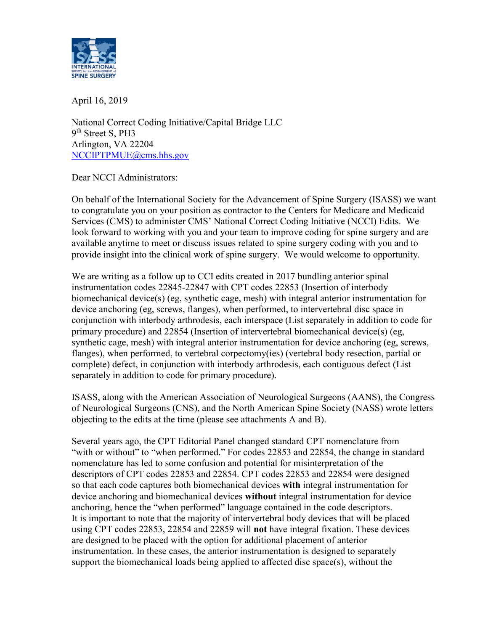

April 16, 2019

National Correct Coding Initiative/Capital Bridge LLC 9<sup>th</sup> Street S, PH3 Arlington, VA 22204 [NCCIPTPMUE@cms.hhs.gov](mailto:NCCIPTPMUE@cms.hhs.gov)

Dear NCCI Administrators:

On behalf of the International Society for the Advancement of Spine Surgery (ISASS) we want to congratulate you on your position as contractor to the Centers for Medicare and Medicaid Services (CMS) to administer CMS' National Correct Coding Initiative (NCCI) Edits. We look forward to working with you and your team to improve coding for spine surgery and are available anytime to meet or discuss issues related to spine surgery coding with you and to provide insight into the clinical work of spine surgery. We would welcome to opportunity.

We are writing as a follow up to CCI edits created in 2017 bundling anterior spinal instrumentation codes 22845-22847 with CPT codes 22853 (Insertion of interbody biomechanical device(s) (eg, synthetic cage, mesh) with integral anterior instrumentation for device anchoring (eg, screws, flanges), when performed, to intervertebral disc space in conjunction with interbody arthrodesis, each interspace (List separately in addition to code for primary procedure) and 22854 (Insertion of intervertebral biomechanical device(s) (eg, synthetic cage, mesh) with integral anterior instrumentation for device anchoring (eg, screws, flanges), when performed, to vertebral corpectomy(ies) (vertebral body resection, partial or complete) defect, in conjunction with interbody arthrodesis, each contiguous defect (List separately in addition to code for primary procedure).

ISASS, along with the American Association of Neurological Surgeons (AANS), the Congress of Neurological Surgeons (CNS), and the North American Spine Society (NASS) wrote letters objecting to the edits at the time (please see attachments A and B).

Several years ago, the CPT Editorial Panel changed standard CPT nomenclature from "with or without" to "when performed." For codes 22853 and 22854, the change in standard nomenclature has led to some confusion and potential for misinterpretation of the descriptors of CPT codes 22853 and 22854. CPT codes 22853 and 22854 were designed so that each code captures both biomechanical devices **with** integral instrumentation for device anchoring and biomechanical devices **without** integral instrumentation for device anchoring, hence the "when performed" language contained in the code descriptors. It is important to note that the majority of intervertebral body devices that will be placed using CPT codes 22853, 22854 and 22859 will **not** have integral fixation. These devices are designed to be placed with the option for additional placement of anterior instrumentation. In these cases, the anterior instrumentation is designed to separately support the biomechanical loads being applied to affected disc space(s), without the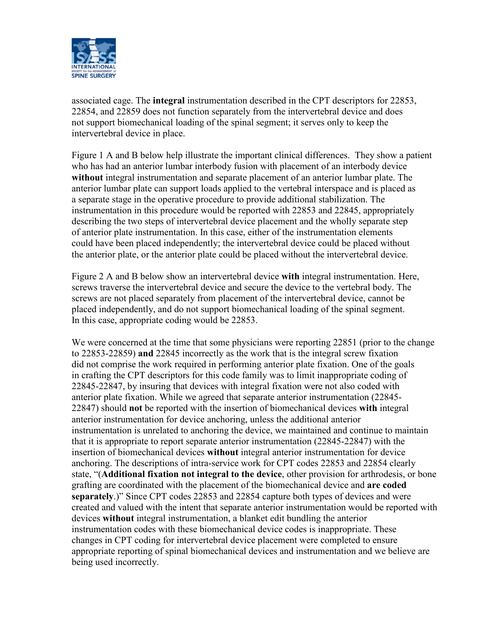

associated cage. The **integral** instrumentation described in the CPT descriptors for 22853, 22854, and 22859 does not function separately from the intervertebral device and does not support biomechanical loading of the spinal segment; it serves only to keep the intervertebral device in place.

Figure 1 A and B below help illustrate the important clinical differences. They show a patient who has had an anterior lumbar interbody fusion with placement of an interbody device **without** integral instrumentation and separate placement of an anterior lumbar plate. The anterior lumbar plate can support loads applied to the vertebral interspace and is placed as a separate stage in the operative procedure to provide additional stabilization. The instrumentation in this procedure would be reported with 22853 and 22845, appropriately describing the two steps of intervertebral device placement and the wholly separate step of anterior plate instrumentation. In this case, either of the instrumentation elements could have been placed independently; the intervertebral device could be placed without the anterior plate, or the anterior plate could be placed without the intervertebral device.

Figure 2 A and B below show an intervertebral device **with** integral instrumentation. Here, screws traverse the intervertebral device and secure the device to the vertebral body. The screws are not placed separately from placement of the intervertebral device, cannot be placed independently, and do not support biomechanical loading of the spinal segment. In this case, appropriate coding would be 22853.

We were concerned at the time that some physicians were reporting 22851 (prior to the change to 22853-22859) **and** 22845 incorrectly as the work that is the integral screw fixation did not comprise the work required in performing anterior plate fixation. One of the goals in crafting the CPT descriptors for this code family was to limit inappropriate coding of 22845-22847, by insuring that devices with integral fixation were not also coded with anterior plate fixation. While we agreed that separate anterior instrumentation (22845- 22847) should **not** be reported with the insertion of biomechanical devices **with** integral anterior instrumentation for device anchoring, unless the additional anterior instrumentation is unrelated to anchoring the device, we maintained and continue to maintain that it is appropriate to report separate anterior instrumentation (22845-22847) with the insertion of biomechanical devices **without** integral anterior instrumentation for device anchoring. The descriptions of intra-service work for CPT codes 22853 and 22854 clearly state, "(**Additional fixation not integral to the device**, other provision for arthrodesis, or bone grafting are coordinated with the placement of the biomechanical device and **are coded separately**.)" Since CPT codes 22853 and 22854 capture both types of devices and were created and valued with the intent that separate anterior instrumentation would be reported with devices **without** integral instrumentation, a blanket edit bundling the anterior instrumentation codes with these biomechanical device codes is inappropriate. These changes in CPT coding for intervertebral device placement were completed to ensure appropriate reporting of spinal biomechanical devices and instrumentation and we believe are being used incorrectly.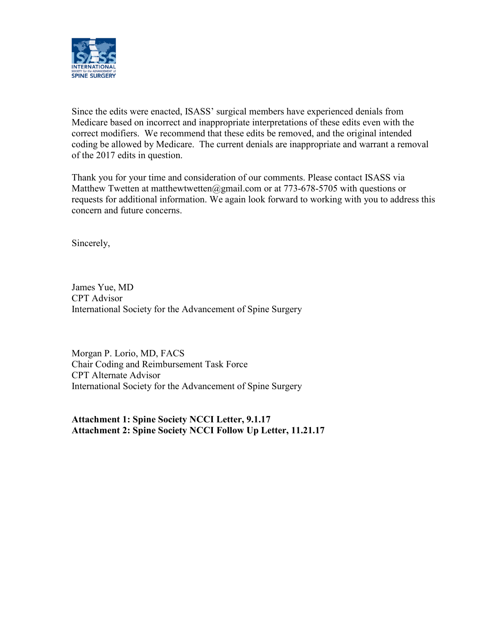

Since the edits were enacted, ISASS' surgical members have experienced denials from Medicare based on incorrect and inappropriate interpretations of these edits even with the correct modifiers. We recommend that these edits be removed, and the original intended coding be allowed by Medicare. The current denials are inappropriate and warrant a removal of the 2017 edits in question.

Thank you for your time and consideration of our comments. Please contact ISASS via Matthew Twetten at matthewtwetten@gmail.com or at 773-678-5705 with questions or requests for additional information. We again look forward to working with you to address this concern and future concerns.

Sincerely,

James Yue, MD CPT Advisor International Society for the Advancement of Spine Surgery

Morgan P. Lorio, MD, FACS Chair Coding and Reimbursement Task Force CPT Alternate Advisor International Society for the Advancement of Spine Surgery

**Attachment 1: Spine Society NCCI Letter, 9.1.17 Attachment 2: Spine Society NCCI Follow Up Letter, 11.21.17**